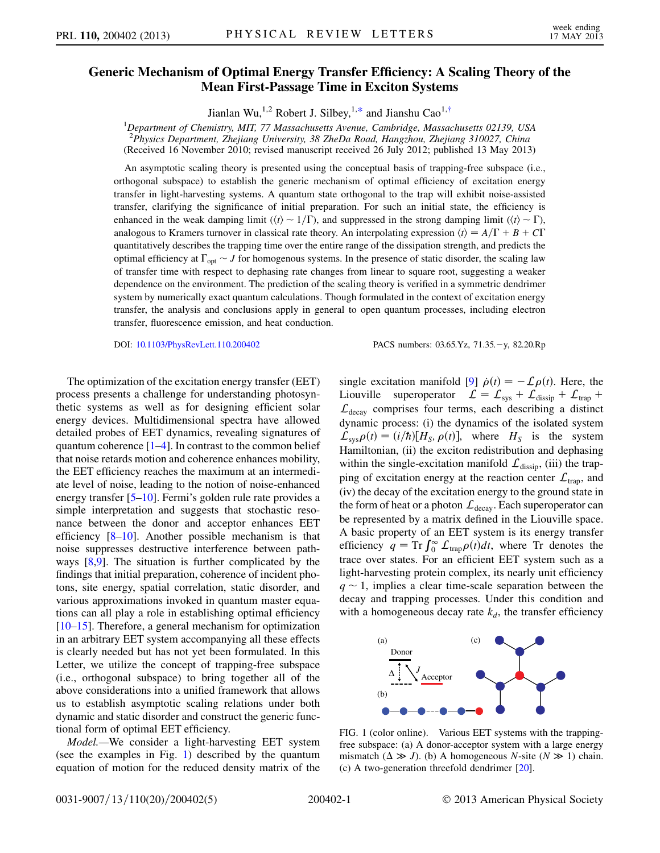## <span id="page-0-2"></span>Generic Mechanism of Optimile Energy Transfer Emergy Transfer Stamps Theory of the  $M_{\rm F}$  First-Passage Time in Exciton Systems

Jianlan Wu,<sup>1,2</sup> Robert J. Silbey,<sup>1,[\\*](#page-4-0)</sup> and Jianshu Cao<sup>1[,†](#page-4-1)</sup>

 ${}^{1}$ Department of Chemistry, MIT, 77 Massachusetts Avenue, Cambridge, Massachusetts 02139, USA <sup>2</sup><br>Physics Department, Zhejiang University, 38 ZheDa Road, Hangzhou, Zhejiang 310027, China (Received 16 November 2010; revised manuscript received 26 July 2012; published 13 May 2013)

An asymptotic scaling theory is presented using the conceptual basis of trapping-free subspace (i.e., orthogonal subspace) to establish the generic mechanism of optimal efficiency of excitation energy transfer in light-harvesting systems. A quantum state orthogonal to the trap will exhibit noise-assisted transfer, clarifying the significance of initial preparation. For such an initial state, the efficiency is enhanced in the weak damping limit ( $\langle t \rangle \sim 1/\Gamma$ ), and suppressed in the strong damping limit ( $\langle t \rangle \sim \Gamma$ ), analogous to Kramers turnover in classical rate theory. An interpolating expression  $\langle t \rangle = A/\Gamma + B + C\Gamma$ quantitatively describes the trapping time over the entire range of the dissipation strength, and predicts the optimal efficiency at  $\Gamma_{\text{opt}} \sim J$  for homogenous systems. In the presence of static disorder, the scaling law of transfer time with respect to dephasing rate changes from linear to square root, suggesting a weaker dependence on the environment. The prediction of the scaling theory is verified in a symmetric dendrimer system by numerically exact quantum calculations. Though formulated in the context of excitation energy transfer, the analysis and conclusions apply in general to open quantum processes, including electron transfer, fluorescence emission, and heat conduction.

DOI: [10.1103/PhysRevLett.110.200402](http://dx.doi.org/10.1103/PhysRevLett.110.200402) PACS numbers: 03.65.Yz, 71.35.-y, 82.20.Rp

The optimization of the excitation energy transfer (EET) process presents a challenge for understanding photosynthetic systems as well as for designing efficient solar energy devices. Multidimensional spectra have allowed detailed probes of EET dynamics, revealing signatures of quantum coherence  $[1-4]$  $[1-4]$  $[1-4]$ . In contrast to the common belief that noise retards motion and coherence enhances mobility, the EET efficiency reaches the maximum at an intermediate level of noise, leading to the notion of noise-enhanced energy transfer [\[5](#page-4-4)–[10](#page-4-5)]. Fermi's golden rule rate provides a simple interpretation and suggests that stochastic resonance between the donor and acceptor enhances EET efficiency  $[8-10]$  $[8-10]$  $[8-10]$ . Another possible mechanism is that noise suppresses destructive interference between pathways [[8,](#page-4-6)[9\]](#page-4-7). The situation is further complicated by the findings that initial preparation, coherence of incident photons, site energy, spatial correlation, static disorder, and various approximations invoked in quantum master equations can all play a role in establishing optimal efficiency [\[10–](#page-4-5)[15\]](#page-4-8). Therefore, a general mechanism for optimization in an arbitrary EET system accompanying all these effects is clearly needed but has not yet been formulated. In this Letter, we utilize the concept of trapping-free subspace (i.e., orthogonal subspace) to bring together all of the above considerations into a unified framework that allows us to establish asymptotic scaling relations under both dynamic and static disorder and construct the generic functional form of optimal EET efficiency.

Model.—We consider a light-harvesting EET system (see the examples in Fig. [1\)](#page-0-0) described by the quantum equation of motion for the reduced density matrix of the

single excitation manifold [\[9](#page-4-7)]  $\dot{\rho}(t) = -\mathcal{L}\rho(t)$ . Here, the<br>Ljouville superpretator  $f = f + f_{n+1} + f_{n+1}$ Liouville superoperator  $\mathcal{L} = \mathcal{L}_{sys} + \mathcal{L}_{disisp} + \mathcal{L}_{trap} +$  $\mathcal{L}_{\text{decay}}$  comprises four terms, each describing a distinct dynamic process: (i) the dynamics of the isolated system  $\mathcal{L}_{sys}\rho(t) = (i/\hbar)[H_S, \rho(t)],$  where  $H_S$  is the system Hamiltonian, (ii) the exciton redistribution and dephasing within the single-excitation manifold  $\mathcal{L}_{\text{dissip}}$ , (iii) the trapping of excitation energy at the reaction center  $\mathcal{L}_{trap}$ , and (iv) the decay of the excitation energy to the ground state in the form of heat or a photon  $\mathcal{L}_{\text{decay}}$ . Each superoperator can be represented by a matrix defined in the Liouville space. A basic property of an EET system is its energy transfer efficiency  $q = \text{Tr} \int_0^\infty L_{\text{trap}} \rho(t) dt$ , where Tr denotes the trace over states. For an efficient EET system such as a light-harvesting protein complex, its nearly unit efficiency  $q \sim 1$ , implies a clear time-scale separation between the decay and trapping processes. Under this condition and with a homogeneous decay rate  $k_d$ , the transfer efficiency

<span id="page-0-0"></span>

<span id="page-0-1"></span>FIG. 1 (color online). Various EET systems with the trappingfree subspace: (a) A donor-acceptor system with a large energy mismatch ( $\Delta \gg J$ ). (b) A homogeneous *N*-site ( $N \gg 1$ ) chain.<br>(c) A two-generation threefold dendrimer [20] (c) A two-generation threefold dendrimer [\[20\]](#page-4-9).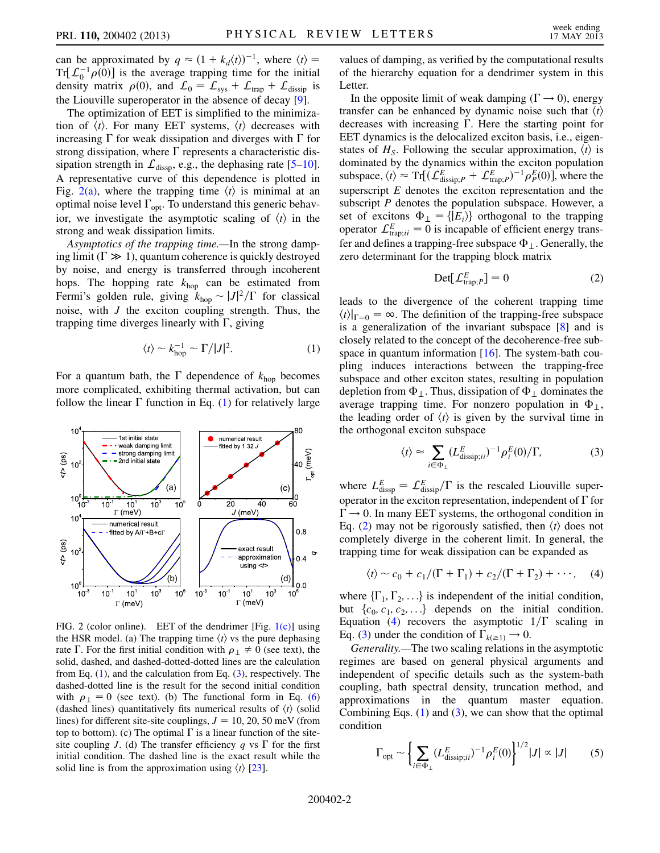can be approximated by  $q \approx (1 + k_d \langle t \rangle)^{-1}$ , where  $\langle t \rangle =$ <br>Tr[  $C^{-1}$   $\alpha(0)$ ] is the average trapping time for the initial Tr[ $\mathcal{L}_0^{-1} \rho(0)$ ] is the average trapping time for the initial<br>density matrix  $\rho(0)$  and  $\Gamma_0 = \Gamma_+ + \Gamma_+ + \Gamma_+$ density matrix  $\rho(0)$ , and  $\mathcal{L}_0 = \mathcal{L}_{sys} + \mathcal{L}_{trap} + \mathcal{L}_{dissip}$  is the Liouville superoperator in the absence of decay [\[9](#page-4-7)].

The optimization of EET is simplified to the minimization of  $\langle t \rangle$ . For many EET systems,  $\langle t \rangle$  decreases with increasing  $\Gamma$  for weak dissipation and diverges with  $\Gamma$  for strong dissipation, where  $\Gamma$  represents a characteristic dissipation strength in  $\mathcal{L}_{\text{dissp}}$ , e.g., the dephasing rate [\[5](#page-4-4)–[10\]](#page-4-5). A representative curve of this dependence is plotted in Fig.  $2(a)$ , where the trapping time  $\langle t \rangle$  is minimal at an optimal noise level  $\Gamma_{\text{opt}}$ . To understand this generic behavior, we investigate the asymptotic scaling of  $\langle t \rangle$  in the strong and weak dissipation limits.

Asymptotics of the trapping time.—In the strong damping limit ( $\Gamma \gg 1$ ), quantum coherence is quickly destroyed by noise, and energy is transferred through incoherent hops. The hopping rate  $k_{\text{hop}}$  can be estimated from Fermi's golden rule, giving  $k_{\text{hop}} \sim |J|^2 / \Gamma$  for classical<br>noise, with *I* the exciton counting strength. Thus, the noise, with  $J$  the exciton coupling strength. Thus, the trapping time diverges linearly with  $\Gamma$ , giving

$$
\langle t \rangle \sim k_{\text{hop}}^{-1} \sim \Gamma / |J|^2. \tag{1}
$$

<span id="page-1-1"></span>For a quantum bath, the  $\Gamma$  dependence of  $k_{\text{hop}}$  becomes more complicated, exhibiting thermal activation, but can follow the linear  $\Gamma$  function in Eq. ([1](#page-1-1)) for relatively large

<span id="page-1-6"></span>

<span id="page-1-0"></span>FIG. 2 (color online). EET of the dendrimer [Fig. [1\(c\)](#page-0-1)] using the HSR model. (a) The trapping time  $\langle t \rangle$  vs the pure dephasing rate  $\Gamma$ . For the first initial condition with  $\rho_{\perp} \neq 0$  (see text), the solid, dashed, and dashed-dotted-dotted lines are the calculation from Eq. ([1](#page-1-1)), and the calculation from Eq. [\(3](#page-1-4)), respectively. The dashed-dotted line is the result for the second initial condition with  $\rho_{\perp} = 0$  (see text). (b) The functional form in Eq. [\(6\)](#page-2-0) (dashed lines) quantitatively fits numerical results of  $\langle t \rangle$  (solid lines) for different site-site couplings,  $J = 10, 20, 50$  meV (from top to bottom). (c) The optimal  $\Gamma$  is a linear function of the sitesite coupling J. (d) The transfer efficiency q vs  $\Gamma$  for the first initial condition. The dashed line is the exact result while the solid line is from the approximation using  $\langle t \rangle$  [[23](#page-4-11)].

values of damping, as verified by the computational results of the hierarchy equation for a dendrimer system in this Letter.

In the opposite limit of weak damping ( $\Gamma \rightarrow 0$ ), energy transfer can be enhanced by dynamic noise such that  $\langle t \rangle$ decreases with increasing  $\Gamma$ . Here the starting point for EET dynamics is the delocalized exciton basis, i.e., eigenstates of  $H<sub>S</sub>$ . Following the secular approximation,  $\langle t \rangle$  is dominated by the dynamics within the exciton population subspace,  $\langle t \rangle \approx Tr[(\mathcal{L}_{dissip,P}^E + \mathcal{L}_{trap,P}^E)^{-1} \rho_P^E(0)]$ , where the superscript  $E$  denotes the exciton representation and the subscript  $P$  denotes the population subspace. However, a set of excitons  $\Phi_{\perp} = \{ |E_i \rangle \}$  orthogonal to the trapping operator  $\mathcal{L}_{\text{trap;ii}}^E = \overline{0}$  is incapable of efficient energy transfer and defines a trapping-free subspace  $\Phi_{\perp}$ . Generally, the zero determinant for the trapping block matrix

$$
\operatorname{Det}[\mathcal{L}_{\operatorname{trap};P}^{E}] = 0 \tag{2}
$$

<span id="page-1-2"></span>leads to the divergence of the coherent trapping time  $\langle t \rangle |_{\Gamma=0} = \infty$ . The definition of the trapping-free subspace is a generalization of the invariant subspace [[8\]](#page-4-6) and is closely related to the concept of the decoherence-free subspace in quantum information  $[16]$  $[16]$  $[16]$ . The system-bath coupling induces interactions between the trapping-free subspace and other exciton states, resulting in population depletion from  $\Phi_{\perp}$ . Thus, dissipation of  $\Phi_{\perp}$  dominates the average trapping time. For nonzero population in  $\Phi_{\perp}$ , the leading order of  $\langle t \rangle$  is given by the survival time in the orthogonal exciton subspace

$$
\langle t \rangle \approx \sum_{i \in \Phi_{\perp}} (L_{\text{dissip};ii}^{E})^{-1} \rho_{i}^{E}(0) / \Gamma, \tag{3}
$$

<span id="page-1-4"></span>where  $L_{\text{disp}}^E = \mathcal{L}_{\text{disp}}^E / \Gamma$  is the rescaled Liouville super-<br>contract in the exciten representation independent of  $\Gamma$  for operator in the exciton representation, independent of  $\Gamma$  for  $\Gamma \rightarrow 0$ . In many EET systems, the orthogonal condition in Eq. [\(2\)](#page-1-2) may not be rigorously satisfied, then  $\langle t \rangle$  does not completely diverge in the coherent limit. In general, the trapping time for weak dissipation can be expanded as

<span id="page-1-3"></span>
$$
\langle t \rangle \sim c_0 + c_1/(\Gamma + \Gamma_1) + c_2/(\Gamma + \Gamma_2) + \cdots, \quad (4)
$$

where  $\{\Gamma_1, \Gamma_2, \ldots\}$  is independent of the initial condition, but  $\{c_0, c_1, c_2, \ldots\}$  depends on the initial condition. Equation ([4](#page-1-3)) recovers the asymptotic  $1/\Gamma$  scaling in Eq. ([3\)](#page-1-4) under the condition of  $\Gamma_{k(\geq 1)} \rightarrow 0$ .

Generality.—The two scaling relations in the asymptotic regimes are based on general physical arguments and independent of specific details such as the system-bath coupling, bath spectral density, truncation method, and approximations in the quantum master equation. Combining Eqs.  $(1)$  $(1)$  and  $(3)$ , we can show that the optimal condition

<span id="page-1-5"></span>
$$
\Gamma_{\text{opt}} \sim \left\{ \sum_{i \in \Phi_{\perp}} (L_{\text{dissip};ii}^{E})^{-1} \rho_{i}^{E}(0) \right\}^{1/2} |J| \propto |J| \quad (5)
$$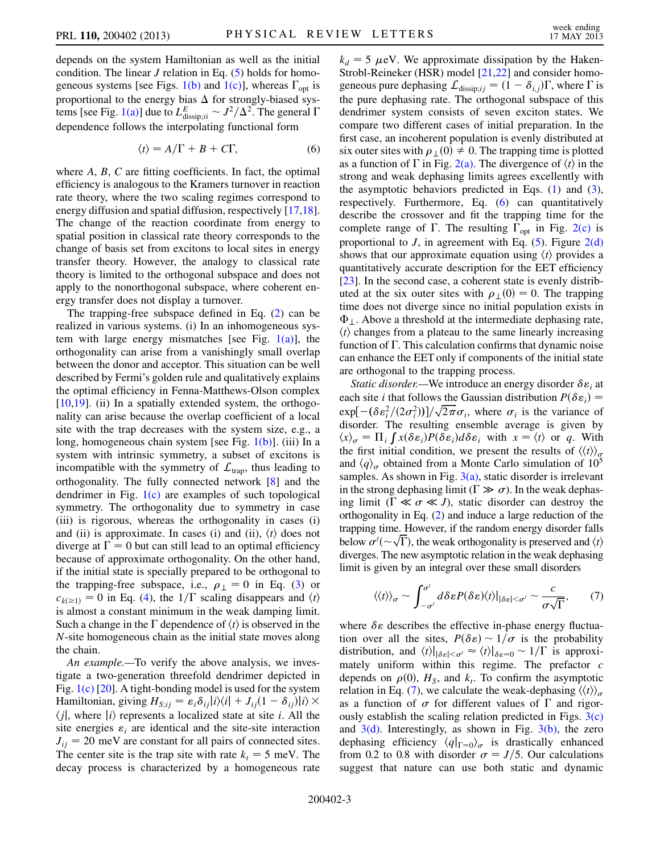depends on the system Hamiltonian as well as the initial condition. The linear  $J$  relation in Eq. ([5\)](#page-1-5) holds for homo-geneous systems [see Figs. [1\(b\)](#page-0-1) and [1\(c\)](#page-0-1)], whereas  $\Gamma_{\text{opt}}$  is proportional to the energy bias  $\Delta$  for strongly-biased sys-tems [see Fig. [1\(a\)](#page-0-1)] due to  $L_{\text{dissip};ii}^E \sim J^2/\Delta^2$ . The general  $\Gamma$ <br>dependence follows the internal ting functional form dependence follows the interpolating functional form

$$
\langle t \rangle = A/\Gamma + B + C\Gamma, \tag{6}
$$

<span id="page-2-0"></span>where  $A, B, C$  are fitting coefficients. In fact, the optimal efficiency is analogous to the Kramers turnover in reaction rate theory, where the two scaling regimes correspond to energy diffusion and spatial diffusion, respectively [\[17,](#page-4-12)[18\]](#page-4-13). The change of the reaction coordinate from energy to spatial position in classical rate theory corresponds to the change of basis set from excitons to local sites in energy transfer theory. However, the analogy to classical rate theory is limited to the orthogonal subspace and does not apply to the nonorthogonal subspace, where coherent energy transfer does not display a turnover.

The trapping-free subspace defined in Eq. ([2](#page-1-2)) can be realized in various systems. (i) In an inhomogeneous system with large energy mismatches [see Fig.  $1(a)$ ], the orthogonality can arise from a vanishingly small overlap between the donor and acceptor. This situation can be well described by Fermi's golden rule and qualitatively explains the optimal efficiency in Fenna-Matthews-Olson complex [\[10](#page-4-5)[,19\]](#page-4-14). (ii) In a spatially extended system, the orthogonality can arise because the overlap coefficient of a local site with the trap decreases with the system size, e.g., a long, homogeneous chain system [see Fig. [1\(b\)\]](#page-0-1). (iii) In a system with intrinsic symmetry, a subset of excitons is incompatible with the symmetry of  $\mathcal{L}_{\text{tran}}$ , thus leading to orthogonality. The fully connected network [[8](#page-4-6)] and the dendrimer in Fig.  $1(c)$  are examples of such topological symmetry. The orthogonality due to symmetry in case (iii) is rigorous, whereas the orthogonality in cases (i) and (ii) is approximate. In cases (i) and (ii),  $\langle t \rangle$  does not diverge at  $\Gamma = 0$  but can still lead to an optimal efficiency because of approximate orthogonality. On the other hand, if the initial state is specially prepared to be orthogonal to the trapping-free subspace, i.e.,  $\rho_{\perp} = 0$  in Eq. ([3](#page-1-4)) or  $c_{k(\geq 1)} = 0$  in Eq. [\(4](#page-1-3)), the  $1/\Gamma$  scaling disappears and  $\langle t \rangle$ is almost a constant minimum in the weak damping limit. Such a change in the  $\Gamma$  dependence of  $\langle t \rangle$  is observed in the N-site homogeneous chain as the initial state moves along the chain.

An example.—To verify the above analysis, we investigate a two-generation threefold dendrimer depicted in Fig. [1\(c\)](#page-0-1) [\[20](#page-4-9)]. A tight-bonding model is used for the system Hamiltonian, giving  $H_{S;ij} = \varepsilon_i \delta_{ij} |i\rangle\langle i| + J_{ij} (1 - \delta_{ij}) |i\rangle \times$  $\langle j \rangle$ , where  $|i\rangle$  represents a localized state at site *i*. All the site energies  $\varepsilon_i$  are identical and the site-site interaction  $J_{ij} = 20$  meV are constant for all pairs of connected sites. The center site is the trap site with rate  $k_t = 5$  meV. The decay process is characterized by a homogeneous rate  $k_d = 5 \mu$ eV. We approximate dissipation by the Haken-Strobl-Reineker (HSR) model [[21](#page-4-15)[,22](#page-4-16)] and consider homogeneous pure dephasing  $\mathcal{L}_{\text{dissip};ij} = (1 - \delta_{i,j})\Gamma$ , where  $\Gamma$  is<br>the pure dephasing rate. The orthogonal subspace of this the pure dephasing rate. The orthogonal subspace of this dendrimer system consists of seven exciton states. We compare two different cases of initial preparation. In the first case, an incoherent population is evenly distributed at six outer sites with  $\rho_1(0) \neq 0$ . The trapping time is plotted as a function of  $\Gamma$  in Fig. [2\(a\)](#page-1-0). The divergence of  $\langle t \rangle$  in the strong and weak dephasing limits agrees excellently with the asymptotic behaviors predicted in Eqs.  $(1)$  $(1)$  $(1)$  and  $(3)$  $(3)$ , respectively. Furthermore, Eq. ([6\)](#page-2-0) can quantitatively describe the crossover and fit the trapping time for the complete range of  $\Gamma$ . The resulting  $\Gamma_{\text{opt}}$  in Fig. [2\(c\)](#page-1-0) is proportional to  $J$ , in agreement with Eq. ([5\)](#page-1-5). Figure [2\(d\)](#page-1-0) shows that our approximate equation using  $\langle t \rangle$  provides a quantitatively accurate description for the EET efficiency [\[23\]](#page-4-11). In the second case, a coherent state is evenly distributed at the six outer sites with  $\rho_{\perp}(0) = 0$ . The trapping time does not diverge since no initial population exists in  $\Phi_{\perp}$ . Above a threshold at the intermediate dephasing rate,  $\langle t \rangle$  changes from a plateau to the same linearly increasing  $\langle t \rangle$  changes from a plateau to the same linearly increasing function of  $\Gamma$ . This calculation confirms that dynamic noise can enhance the EET only if components of the initial state are orthogonal to the trapping process.

*Static disorder.*—We introduce an energy disorder  $\delta \varepsilon_i$  at each site *i* that follows the Gaussian distribution  $P(\delta \epsilon_i) =$ <br>expl $-(\delta \Omega^2/(2\sigma^2))1/\sqrt{2\pi}\sigma$ , where  $\sigma$  is the variance of  $\exp[-(\delta \varepsilon_i^2/(2\sigma_i^2))] / \sqrt{2\pi} \sigma_i$ , where  $\sigma_i$  is the variance of disorder. The resulting ensemble average is given by disorder. The resulting ensemble average is given by  $\langle x \rangle_{\sigma} = \prod_i f x(\delta \varepsilon_i) P(\delta \varepsilon_i) d \delta \varepsilon_i$  with  $x = \langle t \rangle$  or q. With the first initial condition we present the results of  $\langle t \rangle$ . the first initial condition, we present the results of  $\langle\langle t \rangle\rangle_{\sigma}$ and  $\langle q \rangle_{\sigma}$  obtained from a Monte Carlo simulation of 10<sup>5</sup> samples. As shown in Fig.  $3(a)$ , static disorder is irrelevant in the strong dephasing limit ( $\Gamma \gg \sigma$ ). In the weak dephasing limit ( $\Gamma \ll \sigma \ll J$ ), static disorder can destroy the orthogonality in Eq. [\(2](#page-1-2)) and induce a large reduction of the trapping time. However, if the random energy disorder falls below  $\sigma'(\sim \sqrt{\Gamma})$ , the weak orthogonality is preserved and  $\langle t \rangle$ <br>diverges. The new asymptotic relation in the weak dephasing diverges. The new asymptotic relation in the weak dephasing limit is given by an integral over these small disorders

<span id="page-2-1"></span>
$$
\langle\langle t\rangle\rangle_{\sigma} \sim \int_{-\sigma'}^{\sigma'} d\delta \varepsilon P(\delta \varepsilon) \langle t\rangle|_{|\delta \varepsilon| < \sigma'} \sim \frac{c}{\sigma\sqrt{\Gamma}},\qquad(7)
$$

where  $\delta \varepsilon$  describes the effective in-phase energy fluctuation over all the sites,  $P(\delta \varepsilon) \sim 1/\sigma$  is the probability<br>distribution and (t)  $\log_{10} t \approx (t) \log_{10} \varepsilon \approx 1/\Gamma$  is approxidistribution, and  $\langle t \rangle |_{\delta \varepsilon < \sigma'} \approx \langle t \rangle |_{\delta \varepsilon = 0} \sim 1/\Gamma$  is approximately uniform within this regime. The prefactor  $c$ mately uniform within this regime. The prefactor  $c$ depends on  $\rho(0)$ ,  $H<sub>S</sub>$ , and  $k<sub>t</sub>$ . To confirm the asymptotic relation in Eq. [\(7\)](#page-2-1), we calculate the weak-dephasing  $\langle \langle t \rangle \rangle_{\sigma}$ as a function of  $\sigma$  for different values of  $\Gamma$  and rigorously establish the scaling relation predicted in Figs.  $3(c)$ and  $3(d)$ . Interestingly, as shown in Fig.  $3(b)$ , the zero dephasing efficiency  $\langle q|_{\Gamma=0}\rangle_{\sigma}$  is drastically enhanced from 0.2 to 0.8 with disorder  $\sigma = J/5$ . Our calculations suggest that nature can use both static and dynamic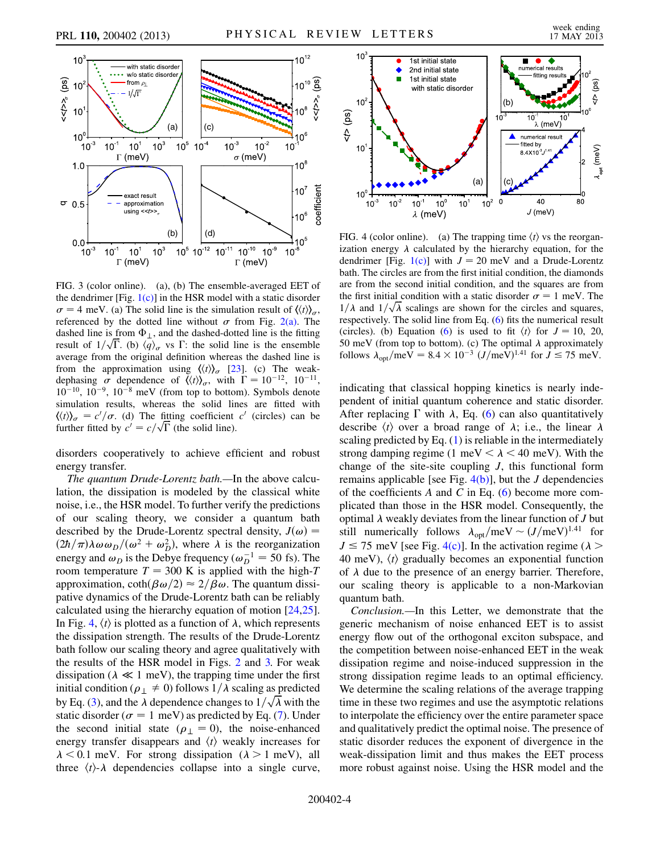<span id="page-3-2"></span>

<span id="page-3-0"></span>FIG. 3 (color online). (a), (b) The ensemble-averaged EET of the dendrimer  $[Fig. 1(c)]$  $[Fig. 1(c)]$  in the HSR model with a static disorder  $\sigma = 4$  meV. (a) The solid line is the simulation result of  $\langle \langle t \rangle \rangle_{\sigma}$ , referenced by the dotted line without  $\sigma$  from Fig. [2\(a\)](#page-1-0). The dashed line is from  $\Phi_{\perp}$ , and the dashed-dotted line is the fitting result of  $1/\sqrt{\Gamma}$ . (b)  $\langle \hat{q} \rangle_{\sigma}$  vs  $\Gamma$ : the solid line is the ensemble average from the original definition whereas the dashed line is average from the original definition whereas the dashed line is from the approximation using  $\langle \langle t \rangle \rangle_{\sigma}$  [\[23\]](#page-4-11). (c) The weakdephasing  $\sigma$  dependence of  $\langle \langle t \rangle \rangle_{\sigma}$ , with  $\Gamma = 10^{-12}$ ,  $10^{-11}$ ,  $10^{-10}$ ,  $10^{-9}$ ,  $10^{-8}$  meV (from top to bottom). Symbols denote  $10^{-10}$ ,  $10^{-9}$ ,  $10^{-8}$  meV (from top to bottom). Symbols denote simulation results, whereas the solid lines are fitted with  $\langle \langle t \rangle \rangle_{\sigma} = c'/\sigma$ . (d) The fitting coefficient c' (circles) can be further fitted by  $c' = c/\sqrt{\Gamma}$  (the solid line) further fitted by  $c' = c/\sqrt{\Gamma}$  (the solid line).

disorders cooperatively to achieve efficient and robust energy transfer.

The quantum Drude-Lorentz bath.—In the above calculation, the dissipation is modeled by the classical white noise, i.e., the HSR model. To further verify the predictions of our scaling theory, we consider a quantum bath described by the Drude-Lorentz spectral density,  $J(\omega)$  =  $\frac{2\hbar}{\pi} \lambda \omega \omega_D / (\omega^2 + \omega_D^2)$ , where  $\lambda$  is the reorganization<br>energy and  $\omega_D$  is the Debye frequency  $(\omega_L^{-1} = 50 \text{ fs})$ . The energy and  $\omega_D$  is the Debye frequency ( $\omega_D^{-1} = 50$  fs). The room temperature  $T = 300$  K is applied with the high-T room temperature  $T = 300$  K is applied with the high-T approximation,  $\coth(\beta \omega/2) \approx 2/\beta \omega$ . The quantum dissipative dynamics of the Drude-Lorentz bath can be reliably calculated using the hierarchy equation of motion [\[24,](#page-4-17)[25\]](#page-4-18). In Fig. [4,](#page-3-1)  $\langle t \rangle$  is plotted as a function of  $\lambda$ , which represents the dissipation strength. The results of the Drude-Lorentz bath follow our scaling theory and agree qualitatively with the results of the HSR model in Figs. [2](#page-1-6) and [3.](#page-3-2) For weak dissipation ( $\lambda \ll 1$  meV), the trapping time under the first initial condition ( $\rho_{\perp} \neq 0$ ) follows  $1/\lambda$  scaling as predicted by Eq. ([3\)](#page-1-4), and the  $\lambda$  dependence changes to  $1/\sqrt{\lambda}$  with the static disorder ( $\sigma = 1$  meV) as predicted by Eq. [\(7\)](#page-2-1). Under the second initial state ( $\rho_{\perp} = 0$ ), the noise-enhanced energy transfer disappears and  $\langle t \rangle$  weakly increases for  $\lambda$  < 0.1 meV. For strong dissipation ( $\lambda$  > 1 meV), all three  $\langle t \rangle$ - $\lambda$  dependencies collapse into a single curve,

<span id="page-3-1"></span>

<span id="page-3-3"></span>FIG. 4 (color online). (a) The trapping time  $\langle t \rangle$  vs the reorganization energy  $\lambda$  calculated by the hierarchy equation, for the dendrimer [Fig. [1\(c\)\]](#page-0-1) with  $J = 20$  meV and a Drude-Lorentz bath. The circles are from the first initial condition, the diamonds are from the second initial condition, and the squares are from the first initial condition with a static disorder  $\sigma = 1$  meV. The  $1/\lambda$  and  $1/\sqrt{\lambda}$  scalings are shown for the circles and squares, respectively. The solid line from Eq. ([6](#page-2-0)) fits the numerical result (circles). (b) Equation ([6](#page-2-0)) is used to fit  $\langle t \rangle$  for  $J = 10, 20$ , 50 meV (from top to bottom). (c) The optimal  $\lambda$  approximately follows  $\lambda_{\text{opt}}/\text{meV} = 8.4 \times 10^{-3} (J/\text{meV})^{1.41}$  for  $J \le 75 \text{ meV}$ .

indicating that classical hopping kinetics is nearly independent of initial quantum coherence and static disorder. After replacing  $\Gamma$  with  $\lambda$ , Eq. ([6](#page-2-0)) can also quantitatively describe  $\langle t \rangle$  over a broad range of  $\lambda$ ; i.e., the linear  $\lambda$ scaling predicted by Eq.  $(1)$  is reliable in the intermediately strong damping regime (1 meV  $< \lambda < 40$  meV). With the change of the site-site coupling  $J$ , this functional form remains applicable [see Fig.  $4(b)$ ], but the *J* dependencies of the coefficients A and C in Eq.  $(6)$  $(6)$  $(6)$  become more complicated than those in the HSR model. Consequently, the optimal  $\lambda$  weakly deviates from the linear function of  $J$  but still numerically follows  $\lambda_{opt}/\text{meV} \sim (J/\text{meV})^{1.41}$  for  $J \le 75$  meV [see Fig.  $A(c)$ ]. In the activation regime ()  $J \le 75$  meV [see Fig. [4\(c\)\]](#page-3-3). In the activation regime ( $\lambda > 40$  meV) (t) gradually becomes an exponential function 40 meV),  $\langle t \rangle$  gradually becomes an exponential function of  $\lambda$  due to the presence of an energy barrier. Therefore, our scaling theory is applicable to a non-Markovian quantum bath.

Conclusion.—In this Letter, we demonstrate that the generic mechanism of noise enhanced EET is to assist energy flow out of the orthogonal exciton subspace, and the competition between noise-enhanced EET in the weak dissipation regime and noise-induced suppression in the strong dissipation regime leads to an optimal efficiency. We determine the scaling relations of the average trapping time in these two regimes and use the asymptotic relations to interpolate the efficiency over the entire parameter space and qualitatively predict the optimal noise. The presence of static disorder reduces the exponent of divergence in the weak-dissipation limit and thus makes the EET process more robust against noise. Using the HSR model and the